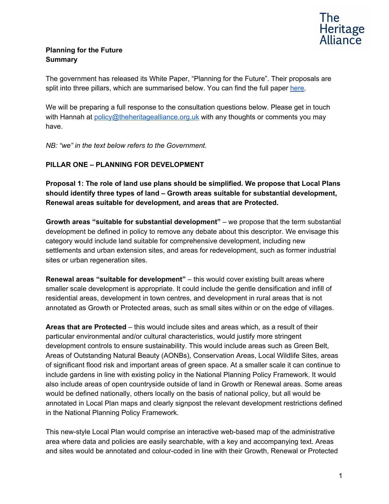

### **Planning for the Future Summary**

The government has released its White Paper, "Planning for the Future". Their proposals are split into three pillars, which are summarised below. You can find the full paper [here.](https://assets.publishing.service.gov.uk/government/uploads/system/uploads/attachment_data/file/907245/MHCLG_PlanningConsultation.pdf)

We will be preparing a full response to the consultation questions below. Please get in touch with Hannah at [policy@theheritagealliance.org.uk](mailto:policy@theheritagealliance.org.uk) with any thoughts or comments you may have.

*NB: "we" in the text below refers to the Government.*

### **PILLAR ONE – PLANNING FOR DEVELOPMENT**

**Proposal 1: The role of land use plans should be simplified. We propose that Local Plans should identify three types of land – Growth areas suitable for substantial development, Renewal areas suitable for development, and areas that are Protected.**

**Growth areas "suitable for substantial development"** – we propose that the term substantial development be defined in policy to remove any debate about this descriptor. We envisage this category would include land suitable for comprehensive development, including new settlements and urban extension sites, and areas for redevelopment, such as former industrial sites or urban regeneration sites.

**Renewal areas "suitable for development"** – this would cover existing built areas where smaller scale development is appropriate. It could include the gentle densification and infill of residential areas, development in town centres, and development in rural areas that is not annotated as Growth or Protected areas, such as small sites within or on the edge of villages.

**Areas that are Protected** – this would include sites and areas which, as a result of their particular environmental and/or cultural characteristics, would justify more stringent development controls to ensure sustainability. This would include areas such as Green Belt, Areas of Outstanding Natural Beauty (AONBs), Conservation Areas, Local Wildlife Sites, areas of significant flood risk and important areas of green space. At a smaller scale it can continue to include gardens in line with existing policy in the National Planning Policy Framework. It would also include areas of open countryside outside of land in Growth or Renewal areas. Some areas would be defined nationally, others locally on the basis of national policy, but all would be annotated in Local Plan maps and clearly signpost the relevant development restrictions defined in the National Planning Policy Framework.

This new-style Local Plan would comprise an interactive web-based map of the administrative area where data and policies are easily searchable, with a key and accompanying text. Areas and sites would be annotated and colour-coded in line with their Growth, Renewal or Protected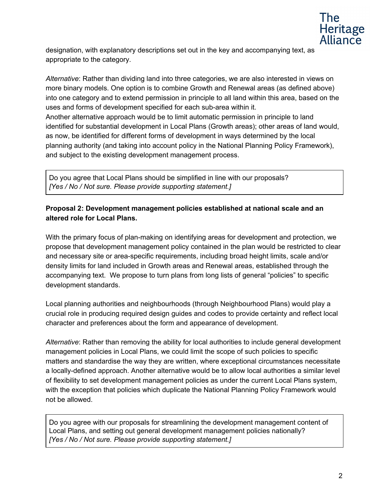

designation, with explanatory descriptions set out in the key and accompanying text, as appropriate to the category.

*Alternative*: Rather than dividing land into three categories, we are also interested in views on more binary models. One option is to combine Growth and Renewal areas (as defined above) into one category and to extend permission in principle to all land within this area, based on the uses and forms of development specified for each sub-area within it. Another alternative approach would be to limit automatic permission in principle to land identified for substantial development in Local Plans (Growth areas); other areas of land would, as now, be identified for different forms of development in ways determined by the local planning authority (and taking into account policy in the National Planning Policy Framework), and subject to the existing development management process.

Do you agree that Local Plans should be simplified in line with our proposals? *[Yes / No / Not sure. Please provide supporting statement.]*

### **Proposal 2: Development management policies established at national scale and an altered role for Local Plans.**

With the primary focus of plan-making on identifying areas for development and protection, we propose that development management policy contained in the plan would be restricted to clear and necessary site or area-specific requirements, including broad height limits, scale and/or density limits for land included in Growth areas and Renewal areas, established through the accompanying text. We propose to turn plans from long lists of general "policies" to specific development standards.

Local planning authorities and neighbourhoods (through Neighbourhood Plans) would play a crucial role in producing required design guides and codes to provide certainty and reflect local character and preferences about the form and appearance of development.

*Alternative*: Rather than removing the ability for local authorities to include general development management policies in Local Plans, we could limit the scope of such policies to specific matters and standardise the way they are written, where exceptional circumstances necessitate a locally-defined approach. Another alternative would be to allow local authorities a similar level of flexibility to set development management policies as under the current Local Plans system, with the exception that policies which duplicate the National Planning Policy Framework would not be allowed.

Do you agree with our proposals for streamlining the development management content of Local Plans, and setting out general development management policies nationally? *[Yes / No / Not sure. Please provide supporting statement.]*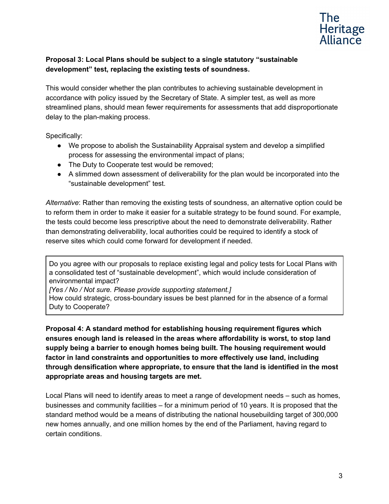

### **Proposal 3: Local Plans should be subject to a single statutory "sustainable development" test, replacing the existing tests of soundness.**

This would consider whether the plan contributes to achieving sustainable development in accordance with policy issued by the Secretary of State. A simpler test, as well as more streamlined plans, should mean fewer requirements for assessments that add disproportionate delay to the plan-making process.

Specifically:

- We propose to abolish the Sustainability Appraisal system and develop a simplified process for assessing the environmental impact of plans;
- The Duty to Cooperate test would be removed;
- A slimmed down assessment of deliverability for the plan would be incorporated into the "sustainable development" test.

*Alternative*: Rather than removing the existing tests of soundness, an alternative option could be to reform them in order to make it easier for a suitable strategy to be found sound. For example, the tests could become less prescriptive about the need to demonstrate deliverability. Rather than demonstrating deliverability, local authorities could be required to identify a stock of reserve sites which could come forward for development if needed.

Do you agree with our proposals to replace existing legal and policy tests for Local Plans with a consolidated test of "sustainable development", which would include consideration of environmental impact?

*[Yes / No / Not sure. Please provide supporting statement.]*

How could strategic, cross-boundary issues be best planned for in the absence of a formal Duty to Cooperate?

**Proposal 4: A standard method for establishing housing requirement figures which ensures enough land is released in the areas where affordability is worst, to stop land supply being a barrier to enough homes being built. The housing requirement would factor in land constraints and opportunities to more effectively use land, including through densification where appropriate, to ensure that the land is identified in the most appropriate areas and housing targets are met.**

Local Plans will need to identify areas to meet a range of development needs – such as homes, businesses and community facilities – for a minimum period of 10 years. It is proposed that the standard method would be a means of distributing the national housebuilding target of 300,000 new homes annually, and one million homes by the end of the Parliament, having regard to certain conditions.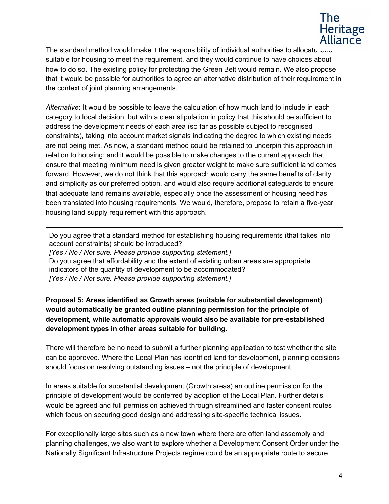

The standard method would make it the responsibility of individual authorities to allocate land suitable for housing to meet the requirement, and they would continue to have choices about how to do so. The existing policy for protecting the Green Belt would remain. We also propose that it would be possible for authorities to agree an alternative distribution of their requirement in the context of joint planning arrangements.

*Alternative*: It would be possible to leave the calculation of how much land to include in each category to local decision, but with a clear stipulation in policy that this should be sufficient to address the development needs of each area (so far as possible subject to recognised constraints), taking into account market signals indicating the degree to which existing needs are not being met. As now, a standard method could be retained to underpin this approach in relation to housing; and it would be possible to make changes to the current approach that ensure that meeting minimum need is given greater weight to make sure sufficient land comes forward. However, we do not think that this approach would carry the same benefits of clarity and simplicity as our preferred option, and would also require additional safeguards to ensure that adequate land remains available, especially once the assessment of housing need has been translated into housing requirements. We would, therefore, propose to retain a five-year housing land supply requirement with this approach.

Do you agree that a standard method for establishing housing requirements (that takes into account constraints) should be introduced? *[Yes / No / Not sure. Please provide supporting statement.]* Do you agree that affordability and the extent of existing urban areas are appropriate indicators of the quantity of development to be accommodated? *[Yes / No / Not sure. Please provide supporting statement.]*

**Proposal 5: Areas identified as Growth areas (suitable for substantial development) would automatically be granted outline planning permission for the principle of development, while automatic approvals would also be available for pre-established development types in other areas suitable for building.**

There will therefore be no need to submit a further planning application to test whether the site can be approved. Where the Local Plan has identified land for development, planning decisions should focus on resolving outstanding issues – not the principle of development.

In areas suitable for substantial development (Growth areas) an outline permission for the principle of development would be conferred by adoption of the Local Plan. Further details would be agreed and full permission achieved through streamlined and faster consent routes which focus on securing good design and addressing site-specific technical issues.

For exceptionally large sites such as a new town where there are often land assembly and planning challenges, we also want to explore whether a Development Consent Order under the Nationally Significant Infrastructure Projects regime could be an appropriate route to secure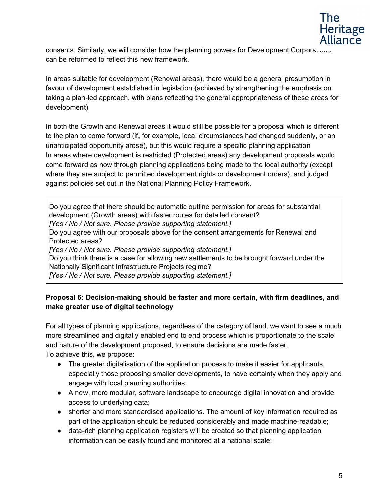

consents. Similarly, we will consider how the planning powers for Development Corporations can be reformed to reflect this new framework.

In areas suitable for development (Renewal areas), there would be a general presumption in favour of development established in legislation (achieved by strengthening the emphasis on taking a plan-led approach, with plans reflecting the general appropriateness of these areas for development)

In both the Growth and Renewal areas it would still be possible for a proposal which is different to the plan to come forward (if, for example, local circumstances had changed suddenly, or an unanticipated opportunity arose), but this would require a specific planning application In areas where development is restricted (Protected areas) any development proposals would come forward as now through planning applications being made to the local authority (except where they are subject to permitted development rights or development orders), and judged against policies set out in the National Planning Policy Framework.

Do you agree that there should be automatic outline permission for areas for substantial development (Growth areas) with faster routes for detailed consent? *[Yes / No / Not sure. Please provide supporting statement.]* Do you agree with our proposals above for the consent arrangements for Renewal and Protected areas? *[Yes / No / Not sure. Please provide supporting statement.]* Do you think there is a case for allowing new settlements to be brought forward under the Nationally Significant Infrastructure Projects regime? *[Yes / No / Not sure. Please provide supporting statement.]*

### **Proposal 6: Decision-making should be faster and more certain, with firm deadlines, and make greater use of digital technology**

For all types of planning applications, regardless of the category of land, we want to see a much more streamlined and digitally enabled end to end process which is proportionate to the scale and nature of the development proposed, to ensure decisions are made faster. To achieve this, we propose:

- The greater digitalisation of the application process to make it easier for applicants, especially those proposing smaller developments, to have certainty when they apply and engage with local planning authorities;
- A new, more modular, software landscape to encourage digital innovation and provide access to underlying data;
- shorter and more standardised applications. The amount of key information required as part of the application should be reduced considerably and made machine-readable;
- data-rich planning application registers will be created so that planning application information can be easily found and monitored at a national scale;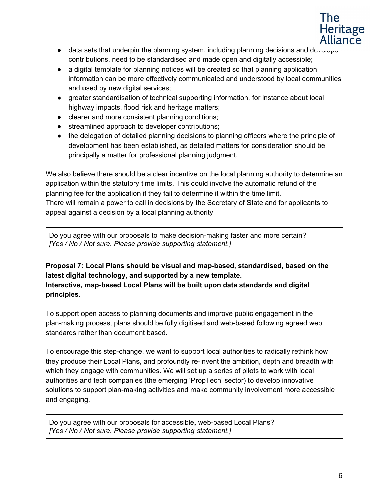

- $\bullet$  data sets that underpin the planning system, including planning decisions and developer contributions, need to be standardised and made open and digitally accessible;
- a digital template for planning notices will be created so that planning application information can be more effectively communicated and understood by local communities and used by new digital services;
- greater standardisation of technical supporting information, for instance about local highway impacts, flood risk and heritage matters;
- clearer and more consistent planning conditions;
- streamlined approach to developer contributions;
- the delegation of detailed planning decisions to planning officers where the principle of development has been established, as detailed matters for consideration should be principally a matter for professional planning judgment.

We also believe there should be a clear incentive on the local planning authority to determine an application within the statutory time limits. This could involve the automatic refund of the planning fee for the application if they fail to determine it within the time limit. There will remain a power to call in decisions by the Secretary of State and for applicants to appeal against a decision by a local planning authority

Do you agree with our proposals to make decision-making faster and more certain? *[Yes / No / Not sure. Please provide supporting statement.]*

## **Proposal 7: Local Plans should be visual and map-based, standardised, based on the latest digital technology, and supported by a new template. Interactive, map-based Local Plans will be built upon data standards and digital principles.**

To support open access to planning documents and improve public engagement in the plan-making process, plans should be fully digitised and web-based following agreed web standards rather than document based.

To encourage this step-change, we want to support local authorities to radically rethink how they produce their Local Plans, and profoundly re-invent the ambition, depth and breadth with which they engage with communities. We will set up a series of pilots to work with local authorities and tech companies (the emerging 'PropTech' sector) to develop innovative solutions to support plan-making activities and make community involvement more accessible and engaging.

Do you agree with our proposals for accessible, web-based Local Plans? *[Yes / No / Not sure. Please provide supporting statement.]*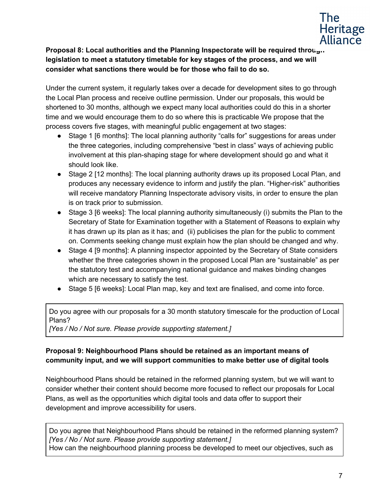

**Proposal 8: Local authorities and the Planning Inspectorate will be required through legislation to meet a statutory timetable for key stages of the process, and we will consider what sanctions there would be for those who fail to do so.**

Under the current system, it regularly takes over a decade for development sites to go through the Local Plan process and receive outline permission. Under our proposals, this would be shortened to 30 months, although we expect many local authorities could do this in a shorter time and we would encourage them to do so where this is practicable We propose that the process covers five stages, with meaningful public engagement at two stages:

- Stage 1 [6 months]: The local planning authority "calls for" suggestions for areas under the three categories, including comprehensive "best in class" ways of achieving public involvement at this plan-shaping stage for where development should go and what it should look like.
- Stage 2 [12 months]: The local planning authority draws up its proposed Local Plan, and produces any necessary evidence to inform and justify the plan. "Higher-risk" authorities will receive mandatory Planning Inspectorate advisory visits, in order to ensure the plan is on track prior to submission.
- Stage 3 [6 weeks]: The local planning authority simultaneously (i) submits the Plan to the Secretary of State for Examination together with a Statement of Reasons to explain why it has drawn up its plan as it has; and (ii) publicises the plan for the public to comment on. Comments seeking change must explain how the plan should be changed and why.
- Stage 4 [9 months]: A planning inspector appointed by the Secretary of State considers whether the three categories shown in the proposed Local Plan are "sustainable" as per the statutory test and accompanying national guidance and makes binding changes which are necessary to satisfy the test.
- Stage 5 [6 weeks]: Local Plan map, key and text are finalised, and come into force.

Do you agree with our proposals for a 30 month statutory timescale for the production of Local Plans?

*[Yes / No / Not sure. Please provide supporting statement.]*

### **Proposal 9: Neighbourhood Plans should be retained as an important means of community input, and we will support communities to make better use of digital tools**

Neighbourhood Plans should be retained in the reformed planning system, but we will want to consider whether their content should become more focused to reflect our proposals for Local Plans, as well as the opportunities which digital tools and data offer to support their development and improve accessibility for users.

Do you agree that Neighbourhood Plans should be retained in the reformed planning system? *[Yes / No / Not sure. Please provide supporting statement.]*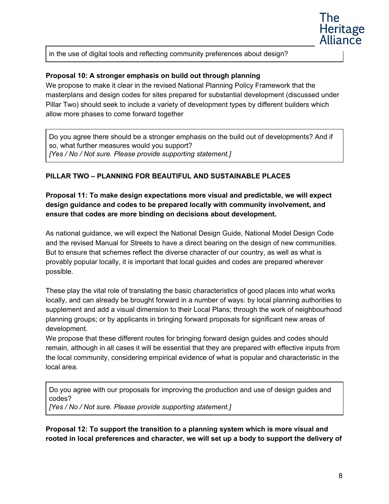

in the use of digital tools and reflecting community preferences about design?

### **Proposal 10: A stronger emphasis on build out through planning**

We propose to make it clear in the revised National Planning Policy Framework that the masterplans and design codes for sites prepared for substantial development (discussed under Pillar Two) should seek to include a variety of development types by different builders which allow more phases to come forward together

Do you agree there should be a stronger emphasis on the build out of developments? And if so, what further measures would you support? *[Yes / No / Not sure. Please provide supporting statement.]*

### **PILLAR TWO – PLANNING FOR BEAUTIFUL AND SUSTAINABLE PLACES**

**Proposal 11: To make design expectations more visual and predictable, we will expect design guidance and codes to be prepared locally with community involvement, and ensure that codes are more binding on decisions about development.**

As national guidance, we will expect the National Design Guide, National Model Design Code and the revised Manual for Streets to have a direct bearing on the design of new communities. But to ensure that schemes reflect the diverse character of our country, as well as what is provably popular locally, it is important that local guides and codes are prepared wherever possible.

These play the vital role of translating the basic characteristics of good places into what works locally, and can already be brought forward in a number of ways: by local planning authorities to supplement and add a visual dimension to their Local Plans; through the work of neighbourhood planning groups; or by applicants in bringing forward proposals for significant new areas of development.

We propose that these different routes for bringing forward design guides and codes should remain, although in all cases it will be essential that they are prepared with effective inputs from the local community, considering empirical evidence of what is popular and characteristic in the local area.

Do you agree with our proposals for improving the production and use of design guides and codes? *[Yes / No / Not sure. Please provide supporting statement.]*

**Proposal 12: To support the transition to a planning system which is more visual and rooted in local preferences and character, we will set up a body to support the delivery of**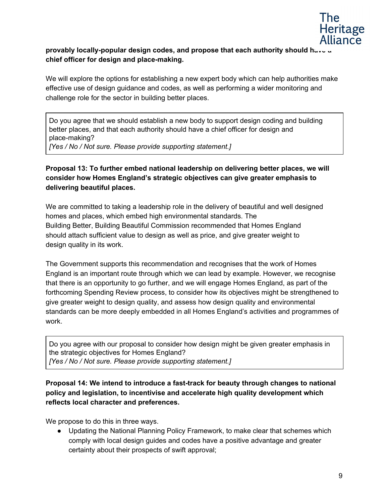

## **provably locally-popular design codes, and propose that each authority should have a chief officer for design and place-making.**

We will explore the options for establishing a new expert body which can help authorities make effective use of design guidance and codes, as well as performing a wider monitoring and challenge role for the sector in building better places.

Do you agree that we should establish a new body to support design coding and building better places, and that each authority should have a chief officer for design and place-making? *[Yes / No / Not sure. Please provide supporting statement.]*

## **Proposal 13: To further embed national leadership on delivering better places, we will consider how Homes England's strategic objectives can give greater emphasis to delivering beautiful places.**

We are committed to taking a leadership role in the delivery of beautiful and well designed homes and places, which embed high environmental standards. The Building Better, Building Beautiful Commission recommended that Homes England should attach sufficient value to design as well as price, and give greater weight to design quality in its work.

The Government supports this recommendation and recognises that the work of Homes England is an important route through which we can lead by example. However, we recognise that there is an opportunity to go further, and we will engage Homes England, as part of the forthcoming Spending Review process, to consider how its objectives might be strengthened to give greater weight to design quality, and assess how design quality and environmental standards can be more deeply embedded in all Homes England's activities and programmes of work.

Do you agree with our proposal to consider how design might be given greater emphasis in the strategic objectives for Homes England? *[Yes / No / Not sure. Please provide supporting statement.]*

**Proposal 14: We intend to introduce a fast-track for beauty through changes to national policy and legislation, to incentivise and accelerate high quality development which reflects local character and preferences.**

We propose to do this in three ways.

● Updating the National Planning Policy Framework, to make clear that schemes which comply with local design guides and codes have a positive advantage and greater certainty about their prospects of swift approval;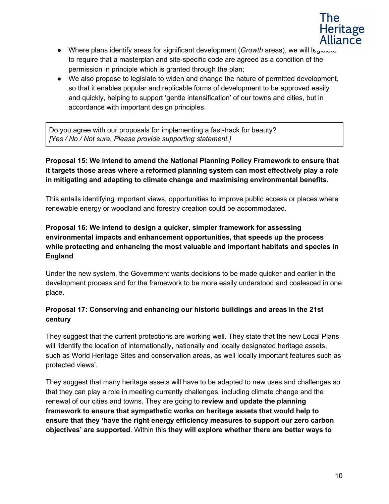

- Where plans identify areas for significant development (*Growth* areas), we will legionate to require that a masterplan and site-specific code are agreed as a condition of the permission in principle which is granted through the plan;
- We also propose to legislate to widen and change the nature of permitted development, so that it enables popular and replicable forms of development to be approved easily and quickly, helping to support 'gentle intensification' of our towns and cities, but in accordance with important design principles.

Do you agree with our proposals for implementing a fast-track for beauty? *[Yes / No / Not sure. Please provide supporting statement.]*

## **Proposal 15: We intend to amend the National Planning Policy Framework to ensure that it targets those areas where a reformed planning system can most effectively play a role in mitigating and adapting to climate change and maximising environmental benefits.**

This entails identifying important views, opportunities to improve public access or places where renewable energy or woodland and forestry creation could be accommodated.

# **Proposal 16: We intend to design a quicker, simpler framework for assessing environmental impacts and enhancement opportunities, that speeds up the process while protecting and enhancing the most valuable and important habitats and species in England**

Under the new system, the Government wants decisions to be made quicker and earlier in the development process and for the framework to be more easily understood and coalesced in one place.

# **Proposal 17: Conserving and enhancing our historic buildings and areas in the 21st century**

They suggest that the current protections are working well. They state that the new Local Plans will 'identify the location of internationally, nationally and locally designated heritage assets, such as World Heritage Sites and conservation areas, as well locally important features such as protected views'.

They suggest that many heritage assets will have to be adapted to new uses and challenges so that they can play a role in meeting currently challenges, including climate change and the renewal of our cities and towns. They are going to **review and update the planning framework to ensure that sympathetic works on heritage assets that would help to ensure that they 'have the right energy efficiency measures to support our zero carbon objectives' are supported**. Within this **they will explore whether there are better ways to**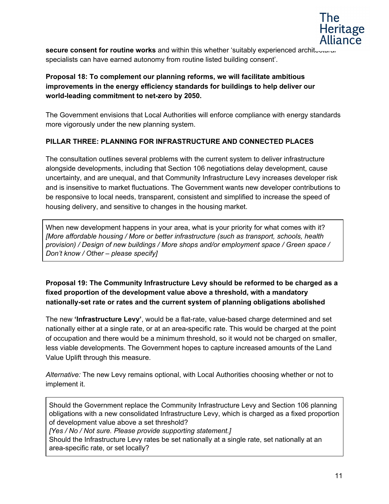

**secure consent for routine works** and within this whether 'suitably experienced architectural specialists can have earned autonomy from routine listed building consent'.

### **Proposal 18: To complement our planning reforms, we will facilitate ambitious improvements in the energy efficiency standards for buildings to help deliver our world-leading commitment to net-zero by 2050.**

The Government envisions that Local Authorities will enforce compliance with energy standards more vigorously under the new planning system.

### **PILLAR THREE: PLANNING FOR INFRASTRUCTURE AND CONNECTED PLACES**

The consultation outlines several problems with the current system to deliver infrastructure alongside developments, including that Section 106 negotiations delay development, cause uncertainty, and are unequal, and that Community Infrastructure Levy increases developer risk and is insensitive to market fluctuations. The Government wants new developer contributions to be responsive to local needs, transparent, consistent and simplified to increase the speed of housing delivery, and sensitive to changes in the housing market.

When new development happens in your area, what is your priority for what comes with it? *[More affordable housing / More or better infrastructure (such as transport, schools, health provision) / Design of new buildings / More shops and/or employment space / Green space / Don't know / Other – please specify]*

### **Proposal 19: The Community Infrastructure Levy should be reformed to be charged as a fixed proportion of the development value above a threshold, with a mandatory nationally-set rate or rates and the current system of planning obligations abolished**

The new **'Infrastructure Levy'**, would be a flat-rate, value-based charge determined and set nationally either at a single rate, or at an area-specific rate. This would be charged at the point of occupation and there would be a minimum threshold, so it would not be charged on smaller, less viable developments. The Government hopes to capture increased amounts of the Land Value Uplift through this measure.

*Alternative:* The new Levy remains optional, with Local Authorities choosing whether or not to implement it.

Should the Government replace the Community Infrastructure Levy and Section 106 planning obligations with a new consolidated Infrastructure Levy, which is charged as a fixed proportion of development value above a set threshold?

*[Yes / No / Not sure. Please provide supporting statement.]*

Should the Infrastructure Levy rates be set nationally at a single rate, set nationally at an area-specific rate, or set locally?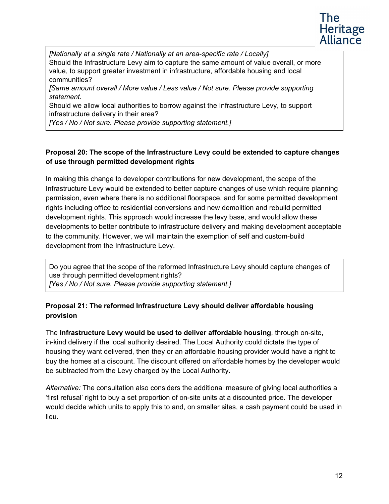

*[Nationally at a single rate / Nationally at an area-specific rate / Locally]* Should the Infrastructure Levy aim to capture the same amount of value overall, or more value, to support greater investment in infrastructure, affordable housing and local communities?

*[Same amount overall / More value / Less value / Not sure. Please provide supporting statement.*

Should we allow local authorities to borrow against the Infrastructure Levy, to support infrastructure delivery in their area?

*[Yes / No / Not sure. Please provide supporting statement.]*

### **Proposal 20: The scope of the Infrastructure Levy could be extended to capture changes of use through permitted development rights**

In making this change to developer contributions for new development, the scope of the Infrastructure Levy would be extended to better capture changes of use which require planning permission, even where there is no additional floorspace, and for some permitted development rights including office to residential conversions and new demolition and rebuild permitted development rights. This approach would increase the levy base, and would allow these developments to better contribute to infrastructure delivery and making development acceptable to the community. However, we will maintain the exemption of self and custom-build development from the Infrastructure Levy.

Do you agree that the scope of the reformed Infrastructure Levy should capture changes of use through permitted development rights? *[Yes / No / Not sure. Please provide supporting statement.]*

### **Proposal 21: The reformed Infrastructure Levy should deliver affordable housing provision**

The **Infrastructure Levy would be used to deliver affordable housing**, through on-site, in-kind delivery if the local authority desired. The Local Authority could dictate the type of housing they want delivered, then they or an affordable housing provider would have a right to buy the homes at a discount. The discount offered on affordable homes by the developer would be subtracted from the Levy charged by the Local Authority.

*Alternative:* The consultation also considers the additional measure of giving local authorities a 'first refusal' right to buy a set proportion of on-site units at a discounted price. The developer would decide which units to apply this to and, on smaller sites, a cash payment could be used in lieu.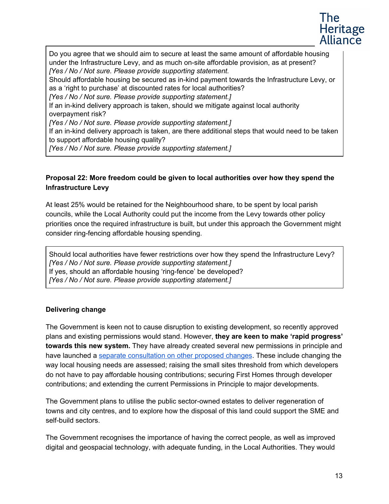

Do you agree that we should aim to secure at least the same amount of affordable housing under the Infrastructure Levy, and as much on-site affordable provision, as at present? *[Yes / No / Not sure. Please provide supporting statement.*

Should affordable housing be secured as in-kind payment towards the Infrastructure Levy, or as a 'right to purchase' at discounted rates for local authorities?

*[Yes / No / Not sure. Please provide supporting statement.]*

If an in-kind delivery approach is taken, should we mitigate against local authority overpayment risk?

*[Yes / No / Not sure. Please provide supporting statement.]*

If an in-kind delivery approach is taken, are there additional steps that would need to be taken to support affordable housing quality?

*[Yes / No / Not sure. Please provide supporting statement.]*

### **Proposal 22: More freedom could be given to local authorities over how they spend the Infrastructure Levy**

At least 25% would be retained for the Neighbourhood share, to be spent by local parish councils, while the Local Authority could put the income from the Levy towards other policy priorities once the required infrastructure is built, but under this approach the Government might consider ring-fencing affordable housing spending.

Should local authorities have fewer restrictions over how they spend the Infrastructure Levy? *[Yes / No / Not sure. Please provide supporting statement.]* If yes, should an affordable housing 'ring-fence' be developed? *[Yes / No / Not sure. Please provide supporting statement.]*

### **Delivering change**

The Government is keen not to cause disruption to existing development, so recently approved plans and existing permissions would stand. However, **they are keen to make 'rapid progress' towards this new system.** They have already created several new permissions in principle and have launched a [s](https://www.gov.uk/government/consultations/changes-to-the-current-planning-system)eparate [consultation](https://www.gov.uk/government/consultations/changes-to-the-current-planning-system) on other proposed changes. These include changing the way local housing needs are assessed; raising the small sites threshold from which developers do not have to pay affordable housing contributions; securing First Homes through developer contributions; and extending the current Permissions in Principle to major developments.

The Government plans to utilise the public sector-owned estates to deliver regeneration of towns and city centres, and to explore how the disposal of this land could support the SME and self-build sectors.

The Government recognises the importance of having the correct people, as well as improved digital and geospacial technology, with adequate funding, in the Local Authorities. They would